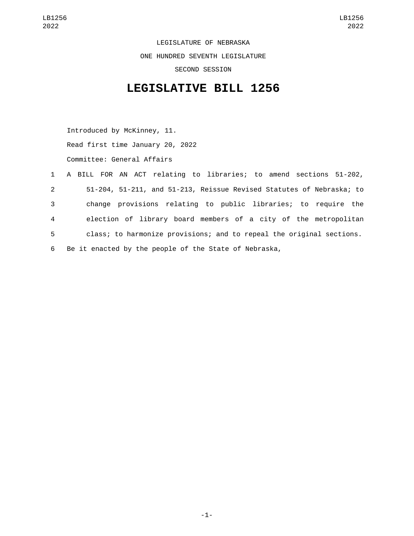LEGISLATURE OF NEBRASKA ONE HUNDRED SEVENTH LEGISLATURE SECOND SESSION

## **LEGISLATIVE BILL 1256**

Introduced by McKinney, 11. Read first time January 20, 2022 Committee: General Affairs

 A BILL FOR AN ACT relating to libraries; to amend sections 51-202, 51-204, 51-211, and 51-213, Reissue Revised Statutes of Nebraska; to change provisions relating to public libraries; to require the election of library board members of a city of the metropolitan class; to harmonize provisions; and to repeal the original sections. Be it enacted by the people of the State of Nebraska,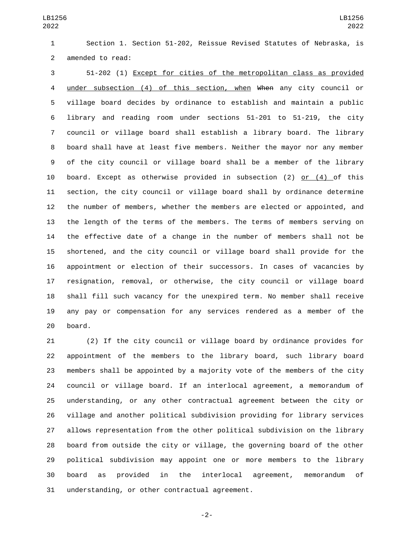LB1256 

 Section 1. Section 51-202, Reissue Revised Statutes of Nebraska, is 2 amended to read:

 51-202 (1) Except for cities of the metropolitan class as provided under subsection (4) of this section, when When any city council or village board decides by ordinance to establish and maintain a public library and reading room under sections 51-201 to 51-219, the city council or village board shall establish a library board. The library board shall have at least five members. Neither the mayor nor any member of the city council or village board shall be a member of the library board. Except as otherwise provided in subsection (2) or (4) of this section, the city council or village board shall by ordinance determine the number of members, whether the members are elected or appointed, and the length of the terms of the members. The terms of members serving on the effective date of a change in the number of members shall not be shortened, and the city council or village board shall provide for the appointment or election of their successors. In cases of vacancies by resignation, removal, or otherwise, the city council or village board shall fill such vacancy for the unexpired term. No member shall receive any pay or compensation for any services rendered as a member of the 20 board.

 (2) If the city council or village board by ordinance provides for appointment of the members to the library board, such library board members shall be appointed by a majority vote of the members of the city council or village board. If an interlocal agreement, a memorandum of understanding, or any other contractual agreement between the city or village and another political subdivision providing for library services allows representation from the other political subdivision on the library board from outside the city or village, the governing board of the other political subdivision may appoint one or more members to the library board as provided in the interlocal agreement, memorandum of 31 understanding, or other contractual agreement.

-2-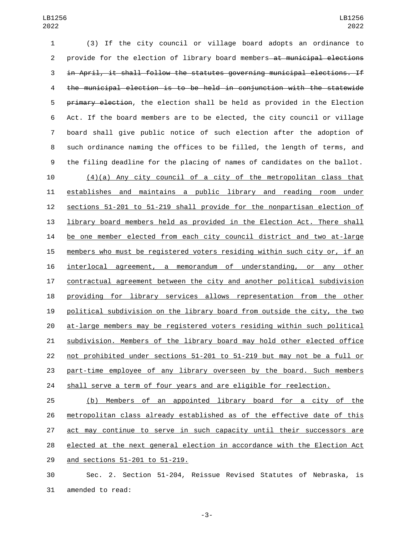(3) If the city council or village board adopts an ordinance to 2 provide for the election of library board members—at municipal elections in April, it shall follow the statutes governing municipal elections. If the municipal election is to be held in conjunction with the statewide 5 primary election, the election shall be held as provided in the Election Act. If the board members are to be elected, the city council or village board shall give public notice of such election after the adoption of such ordinance naming the offices to be filled, the length of terms, and the filing deadline for the placing of names of candidates on the ballot.  $(4)(a)$  Any city council of a city of the metropolitan class that establishes and maintains a public library and reading room under sections 51-201 to 51-219 shall provide for the nonpartisan election of library board members held as provided in the Election Act. There shall be one member elected from each city council district and two at-large members who must be registered voters residing within such city or, if an interlocal agreement, a memorandum of understanding, or any other contractual agreement between the city and another political subdivision 18 providing for library services allows representation from the other political subdivision on the library board from outside the city, the two at-large members may be registered voters residing within such political subdivision. Members of the library board may hold other elected office not prohibited under sections 51-201 to 51-219 but may not be a full or part-time employee of any library overseen by the board. Such members shall serve a term of four years and are eligible for reelection.

 (b) Members of an appointed library board for a city of the metropolitan class already established as of the effective date of this act may continue to serve in such capacity until their successors are 28 elected at the next general election in accordance with the Election Act 29 and sections 51-201 to 51-219.

 Sec. 2. Section 51-204, Reissue Revised Statutes of Nebraska, is 31 amended to read:

-3-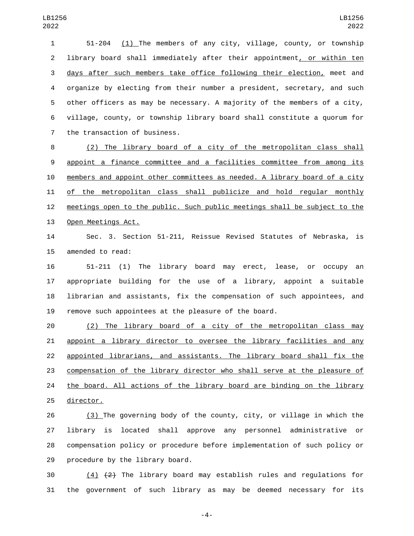51-204 (1) The members of any city, village, county, or township library board shall immediately after their appointment, or within ten days after such members take office following their election, meet and organize by electing from their number a president, secretary, and such other officers as may be necessary. A majority of the members of a city, village, county, or township library board shall constitute a quorum for 7 the transaction of business.

 (2) The library board of a city of the metropolitan class shall appoint a finance committee and a facilities committee from among its members and appoint other committees as needed. A library board of a city of the metropolitan class shall publicize and hold regular monthly meetings open to the public. Such public meetings shall be subject to the 13 Open Meetings Act.

 Sec. 3. Section 51-211, Reissue Revised Statutes of Nebraska, is 15 amended to read:

 51-211 (1) The library board may erect, lease, or occupy an appropriate building for the use of a library, appoint a suitable librarian and assistants, fix the compensation of such appointees, and remove such appointees at the pleasure of the board.

 (2) The library board of a city of the metropolitan class may appoint a library director to oversee the library facilities and any appointed librarians, and assistants. The library board shall fix the compensation of the library director who shall serve at the pleasure of the board. All actions of the library board are binding on the library 25 director.

 (3) The governing body of the county, city, or village in which the library is located shall approve any personnel administrative or compensation policy or procedure before implementation of such policy or 29 procedure by the library board.

 (4)  $(2)$  The library board may establish rules and regulations for the government of such library as may be deemed necessary for its

-4-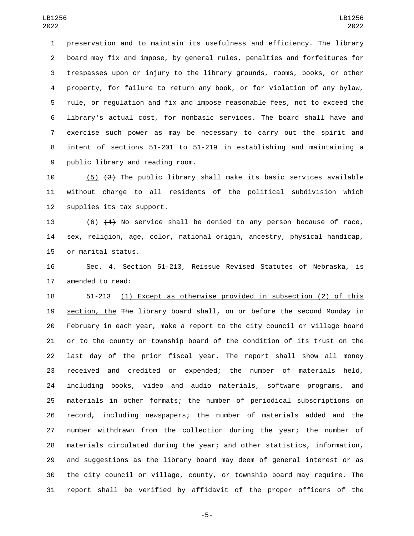preservation and to maintain its usefulness and efficiency. The library board may fix and impose, by general rules, penalties and forfeitures for trespasses upon or injury to the library grounds, rooms, books, or other property, for failure to return any book, or for violation of any bylaw, rule, or regulation and fix and impose reasonable fees, not to exceed the library's actual cost, for nonbasic services. The board shall have and exercise such power as may be necessary to carry out the spirit and intent of sections 51-201 to 51-219 in establishing and maintaining a 9 public library and reading room.

10  $(5)$   $(3)$  The public library shall make its basic services available without charge to all residents of the political subdivision which 12 supplies its tax support.

 (6) (4) No service shall be denied to any person because of race, sex, religion, age, color, national origin, ancestry, physical handicap, 15 or marital status.

 Sec. 4. Section 51-213, Reissue Revised Statutes of Nebraska, is 17 amended to read:

 51-213 (1) Except as otherwise provided in subsection (2) of this section, the The library board shall, on or before the second Monday in February in each year, make a report to the city council or village board or to the county or township board of the condition of its trust on the last day of the prior fiscal year. The report shall show all money received and credited or expended; the number of materials held, including books, video and audio materials, software programs, and materials in other formats; the number of periodical subscriptions on record, including newspapers; the number of materials added and the number withdrawn from the collection during the year; the number of materials circulated during the year; and other statistics, information, and suggestions as the library board may deem of general interest or as the city council or village, county, or township board may require. The report shall be verified by affidavit of the proper officers of the

-5-